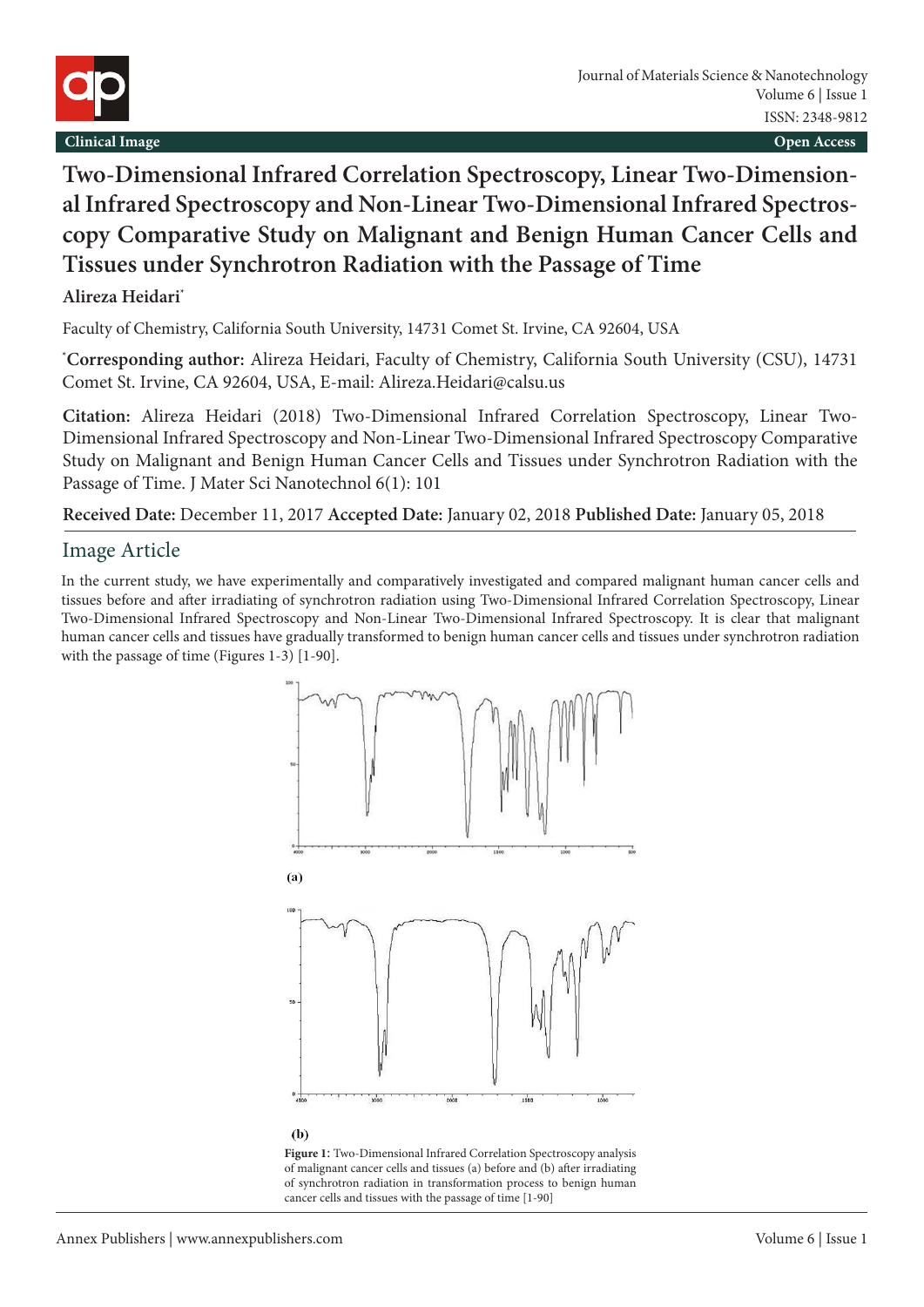

## **Two-Dimensional Infrared Correlation Spectroscopy, Linear Two-Dimensional Infrared Spectroscopy and Non-Linear Two-Dimensional Infrared Spectroscopy Comparative Study on Malignant and Benign Human Cancer Cells and Tissues under Synchrotron Radiation with the Passage of Time**

**Alireza Heidari\***

Faculty of Chemistry, California South University, 14731 Comet St. Irvine, CA 92604, USA

**\* Corresponding author:** Alireza Heidari, Faculty of Chemistry, California South University (CSU), 14731 Comet St. Irvine, CA 92604, USA, E-mail: Alireza.Heidari@calsu.us

**Citation:** Alireza Heidari (2018) Two-Dimensional Infrared Correlation Spectroscopy, Linear Two-Dimensional Infrared Spectroscopy and Non-Linear Two-Dimensional Infrared Spectroscopy Comparative Study on Malignant and Benign Human Cancer Cells and Tissues under Synchrotron Radiation with the Passage of Time. J Mater Sci Nanotechnol 6(1): 101

**Received Date:** December 11, 2017 **Accepted Date:** January 02, 2018 **Published Date:** January 05, 2018

## Image Article

In the current study, we have experimentally and comparatively investigated and compared malignant human cancer cells and tissues before and after irradiating of synchrotron radiation using Two-Dimensional Infrared Correlation Spectroscopy, Linear Two-Dimensional Infrared Spectroscopy and Non-Linear Two-Dimensional Infrared Spectroscopy. It is clear that malignant human cancer cells and tissues have gradually transformed to benign human cancer cells and tissues under synchrotron radiation with the passage of time (Figures 1-3) [1-90].



**Figure 1**: Two-Dimensional Infrared Correlation Spectroscopy analysis of malignant cancer cells and tissues (a) before and (b) after irradiating of synchrotron radiation in transformation process to benign human cancer cells and tissues with the passage of time [1-90]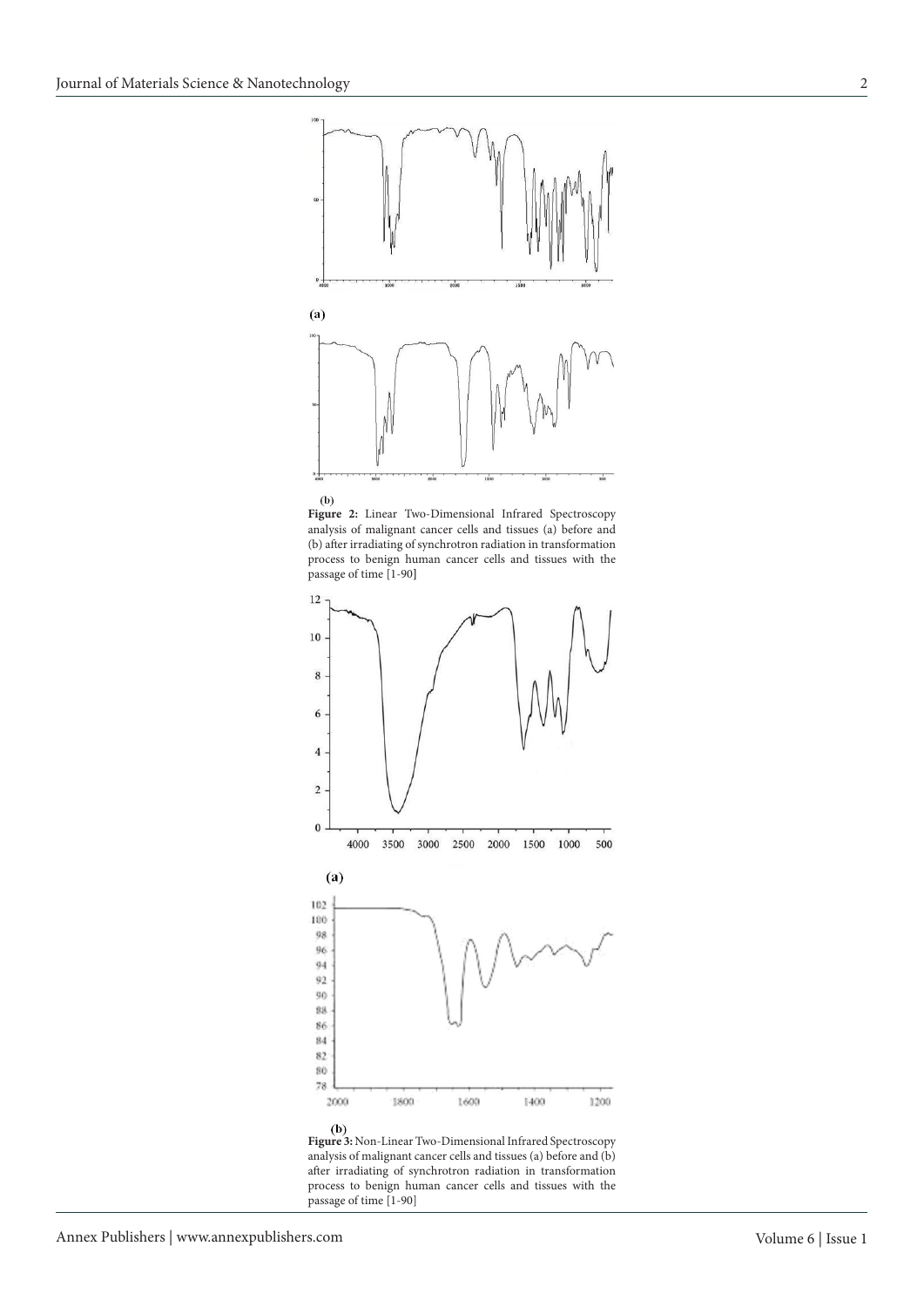





**Figure 3:** Non-Linear Two-Dimensional Infrared Spectroscopy analysis of malignant cancer cells and tissues (a) before and (b) after irradiating of synchrotron radiation in transformation process to benign human cancer cells and tissues with the passage of time [1-90]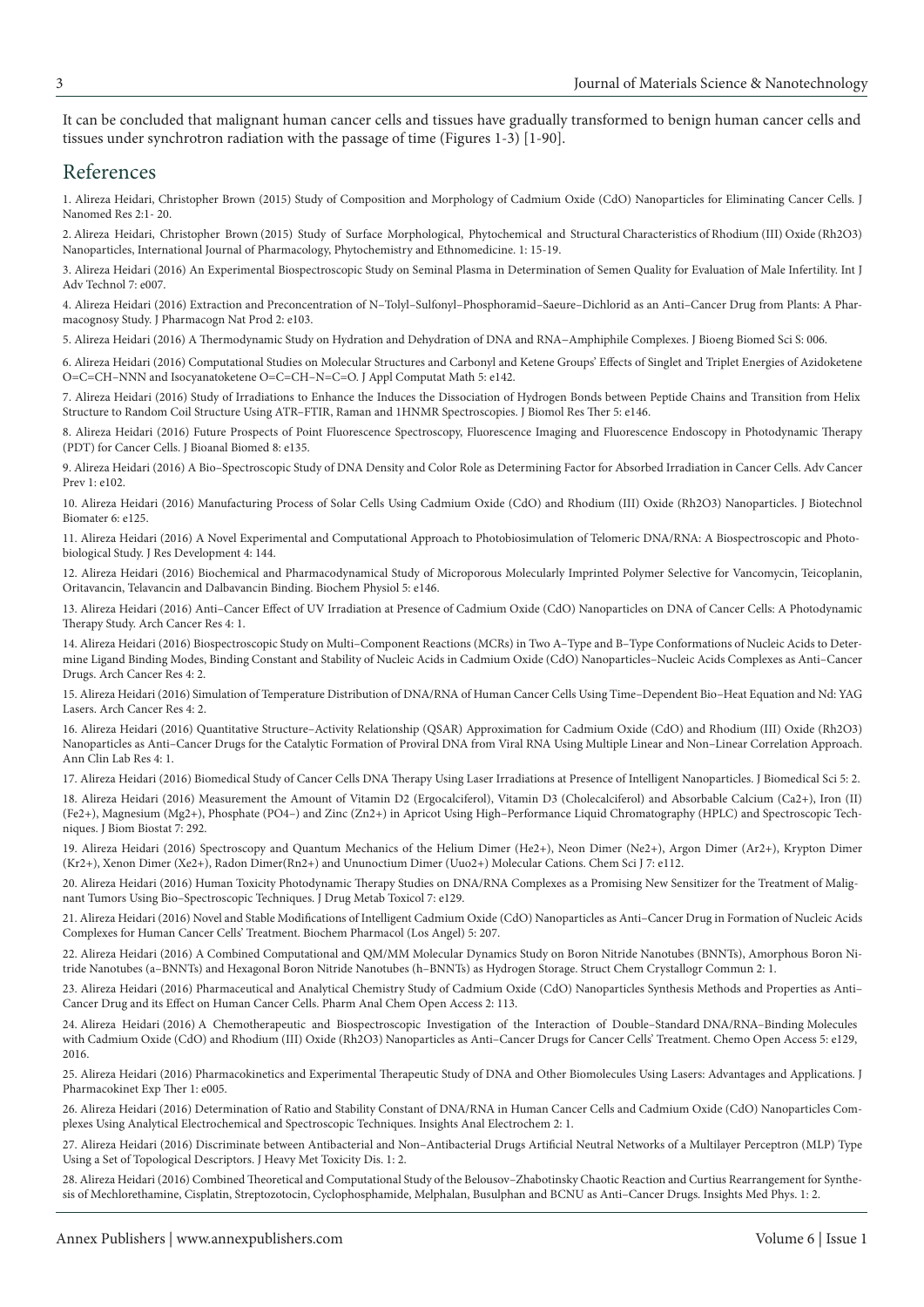It can be concluded that malignant human cancer cells and tissues have gradually transformed to benign human cancer cells and tissues under synchrotron radiation with the passage of time (Figures 1-3) [1-90].

## References

[1. Alireza Heidari, Christopher Brown \(2015\) Study of Composition and Morphology of Cadmium Oxide \(CdO\) Nanoparticles for Eliminating Cancer Cells. J](https://pdfs.semanticscholar.org/a567/abbdf0db03020084e32e93af2058879fb48e.pdf)  Nanomed Res 2:1- 20.

[2. Alireza Heidari, Christopher Brown \(2015\) Study of Surface Morphological, Phytochemical and Structural Characteristics of Rhodium \(III\) Oxide \(Rh2O3\)](https://www.scipress.com/IJPPE.1.15.pdf)  Nanoparticles, International Journal of Pharmacology, Phytochemistry and Ethnomedicine. 1: 15-19.

[3. Alireza Heidari \(2016\) An Experimental Biospectroscopic Study on Seminal Plasma in Determination of Semen Quality for Evaluation of Male Infertility. Int J](https://www.omicsonline.org/open-access/an-experimental-biospectroscopic-study-on-seminal-plasma-in-determination-of-semen-quality-for-evaluation-of-male-infertility-0976-4860-1000e007.php?aid=70477)  Adv Technol 7: e007.

[4. Alireza Heidari \(2016\) Extraction and Preconcentration of N–Tolyl–Sulfonyl–Phosphoramid–Saeure–Dichlorid as an Anti–Cancer Drug from Plants: A Phar](https://www.omicsonline.org/open-access/extraction-and-preconcentration-of-ntolylsulfonylphosphoramidsaeuredichlorid-as-an-anticancer-drug-from-plants-a-pharmacognosystud-jpnp-1000e103.php?aid=70582)macognosy Study. J Pharmacogn Nat Prod 2: e103.

[5. Alireza Heidari \(2016\) A Thermodynamic Study on Hydration and Dehydration of DNA and RNA−Amphiphile Complexes. J Bioeng Biomed Sci S: 006.](https://www.omicsonline.org/open-access/a-thermodynamic-study-on-hydration-and-dehydration-of-dna-and-rnaamphiphile-complexes-2155-9538-1000S3-006.php?aid=70643)

[6. Alireza Heidari \(2016\) Computational Studies on Molecular Structures and Carbonyl and Ketene Groups' Effects of Singlet and Triplet Energies of Azidoketene](https://www.omicsonline.org/open-access/computational-studies-on-molecular-structures-and-carbonyl-and-ketenegroups-effects-of-singlet-and-triplet-energies-of-azidoketene-2168-9679-1000e142.php?aid=70355)  O=C=CH–NNN and Isocyanatoketene O=C=CH–N=C=O. J Appl Computat Math 5: e142.

[7. Alireza Heidari \(2016\) Study of Irradiations to Enhance the Induces the Dissociation of Hydrogen Bonds between Peptide Chains and Transition from Helix](https://www.omicsonline.org/open-access/study-of-irradiations-to-enhance-the-induces-the-dissociation-ofhydrogen-bonds-between-peptide-chains-and-transition-from-helixstr-2167-7956-1000e146.php?aid=70649)  Structure to Random Coil Structure Using ATR–FTIR, Raman and 1HNMR Spectroscopies. J Biomol Res Ther 5: e146.

[8. Alireza Heidari \(2016\) Future Prospects of Point Fluorescence Spectroscopy, Fluorescence Imaging and Fluorescence Endoscopy in Photodynamic Therapy](https://www.omicsonline.org/open-access/future-prospects-of-point-fluorescence-spectroscopy-fluorescenceimaging-and-fluorescence-endoscopy-in-photodynamic-therapy-pdt-for-1948-593X-1000e135.php?aid=70496)  (PDT) for Cancer Cells. J Bioanal Biomed 8: e135.

[9. Alireza Heidari \(2016\) A Bio–Spectroscopic Study of DNA Density and Color Role as Determining Factor for Absorbed Irradiation in Cancer Cells. Adv Cancer](https://www.omicsonline.org/open-access/a-biospectroscopic-study-of-dna-density-and-color-role-as-determining-factor-for-absorbed-irradiation-in-cancer-cells-acp-1000e102.php?aid=71045)  Prev 1: e102.

[10. Alireza Heidari \(2016\) Manufacturing Process of Solar Cells Using Cadmium Oxide \(CdO\) and Rhodium \(III\) Oxide \(Rh2O3\) Nanoparticles. J Biotechnol](https://www.omicsonline.org/open-access/manufacturing-process-of-solar-cells-using-cadmium-oxide-cdo-and-rhodium-iii-oxide-rh2o3-nanoparticles-2155-952X-1000e125.php?aid=71790)  Biomater 6: e125.

[11. Alireza Heidari \(2016\) A Novel Experimental and Computational Approach to Photobiosimulation of Telomeric DNA/RNA: A Biospectroscopic and Photo](https://www.omicsonline.org/open-access/a-novel-experimental-and-computational-approach-to-photobiosimulation-of-telomeric-dnarna-a-biospectroscopic-and-photobiological-s-jrd-1000144.php?aid=71949)biological Study. J Res Development 4: 144.

[12. Alireza Heidari \(2016\) Biochemical and Pharmacodynamical Study of Microporous Molecularly Imprinted Polymer Selective for Vancomycin, Teicoplanin,](https://www.omicsonline.org/open-access/biochemical-and-pharmacodynamical-study-of-microporous-molecularlyimprinted-polymer-selective-for-vancomycin-teicoplanin-oritavanc-2168-9652-1000e146.php?aid=70970)  Oritavancin, Telavancin and Dalbavancin Binding. Biochem Physiol 5: e146.

[13. Alireza Heidari \(2016\) Anti–Cancer Effect of UV Irradiation at Presence of Cadmium Oxide \(CdO\) Nanoparticles on DNA of Cancer Cells: A Photodynamic](http://www.acanceresearch.com/cancer-research/anticancer-effect-of-uv-irradiation-at-presence-of-cadmium-oxide-cdo-nanoparticles-on-dna-of-cancer-cells-a-photodynamic-therapy-s.pdf)  Therapy Study. Arch Cancer Res 4: 1.

14. Alireza Heidari (2016) Biospectroscopic Study on Multi–Component Reactions (MCRs) in Two A–Type and B–Type Conformations of Nucleic Acids to Deter[mine Ligand Binding Modes, Binding Constant and Stability of Nucleic Acids in Cadmium Oxide \(CdO\) Nanoparticles–Nucleic Acids Complexes as Anti–Cancer](http://www.acanceresearch.com/cancer-research/biospectroscopic-study-on-multicomponent-reactions-mcrs-in-two-atype-and-btype-conformations-of-nucleic-acids-to-determine-ligand.php?aid=9093)  Drugs. Arch Cancer Res 4: 2.

[15. Alireza Heidari \(2016\) Simulation of Temperature Distribution of DNA/RNA of Human Cancer Cells Using Time–Dependent Bio–Heat Equation and Nd: YAG](https://www.omicsonline.org/open-access/spectroscopy-and-quantum-mechanics-of-the-helium-dimer-he2-neon-dimer-ne2-argon-dimer-ar2-krypton-dimer-kr2-xenon-dimer-xe2-radon-2150-3494-1000e112.php?aid=72392)  Lasers. Arch Cancer Res 4: 2.

16. Alireza Heidari (2016) Quantitative Structure–Activity Relationship (QSAR) Approximation for Cadmium Oxide (CdO) and Rhodium (III) Oxide (Rh2O3) Nanoparticles as Anti–Cancer Drugs for the Catalytic Formation of Proviral DNA from Viral RNA Using Multiple Linear and Non–Linear Correlation Approach. Ann Clin Lab Res 4: 1.

[17. Alireza Heidari \(2016\) Biomedical Study of Cancer Cells DNA Therapy Using Laser Irradiations at Presence of Intelligent Nanoparticles. J Biomedical Sci 5: 2.](http://www.jbiomeds.com/biomedical-sciences/biomedical-study-of-cancer-cells-dna-therapy-using-laser-irradiations-at-presence-of-intelligent-nanoparticles.php?aid=9049)

[18. Alireza Heidari \(2016\) Measurement the Amount of Vitamin D2 \(Ergocalciferol\), Vitamin D3 \(Cholecalciferol\) and Absorbable Calcium \(Ca2+\), Iron \(II\)](https://www.omicsonline.org/open-access/measurement-the-amount-of-vitamin-d2-ergocalciferol-vitamin-d3cholecalciferol-and-absorbable-calcium-ca2-iron-ii-fe2magnesium-mg2-2155-6180-1000292.php?aid=72126)  (Fe2+), Magnesium (Mg2+), Phosphate (PO4–) and Zinc (Zn2+) in Apricot Using High–Performance Liquid Chromatography (HPLC) and Spectroscopic Techniques. J Biom Biostat 7: 292.

[19. Alireza Heidari \(2016\) Spectroscopy and Quantum Mechanics of the Helium Dimer \(He2+\), Neon Dimer \(Ne2+\), Argon Dimer \(Ar2+\), Krypton Dimer](https://www.omicsonline.org/open-access/spectroscopy-and-quantum-mechanics-of-the-helium-dimer-he2-neon-dimer-ne2-argon-dimer-ar2-krypton-dimer-kr2-xenon-dimer-xe2-radon-2150-3494-1000e112.php?aid=72392)  (Kr2+), Xenon Dimer (Xe2+), Radon Dimer(Rn2+) and Ununoctium Dimer (Uuo2+) Molecular Cations. Chem Sci J 7: e112.

[20. Alireza Heidari \(2016\) Human Toxicity Photodynamic Therapy Studies on DNA/RNA Complexes as a Promising New Sensitizer for the Treatment of Malig](https://www.omicsonline.org/open-access/human-toxicity-photodynamic-therapy-studies-on-dnarna-complexesas-a-promising-new-sensitizer-for-the-treatment-of-malignant-tumors-2157-7609-1000e129.php?aid=73041)nant Tumors Using Bio–Spectroscopic Techniques. J Drug Metab Toxicol 7: e129.

[21. Alireza Heidari \(2016\) Novel and Stable Modifications of Intelligent Cadmium Oxide \(CdO\) Nanoparticles as Anti–Cancer Drug in Formation of Nucleic Acids](https://www.omicsonline.org/open-access/novel-and-stable-modifications-of-intelligent-cadmium-oxide-cdonanoparticles-as-anticancer-drug-in-formation-of-nucleic-acidscompl-2167-0501-1000207.php?aid=73082)  Complexes for Human Cancer Cells' Treatment. Biochem Pharmacol (Los Angel) 5: 207.

[22. Alireza Heidari \(2016\) A Combined Computational and QM/MM Molecular Dynamics Study on Boron Nitride Nanotubes \(BNNTs\), Amorphous Boron Ni](https://scholar.google.co.in/scholar?hl=en&as_sdt=0%2C5&q=A+Combined+Computational+and+QM%2FMM+Molecular+Dynamics+Study+on+Boron+Nitride+Nanotubes+%28BNNTs%29%2C+Amorphous+Boron+Nitride+Nanotubes+%28a%E2%80%93BNNTs%29+and+Hexagonal+Boron+Nitride+Nanotubes+%28h%E2%80%93BNNTs%29+as+Hydrogen+Storage&btnG=)tride Nanotubes (a–BNNTs) and Hexagonal Boron Nitride Nanotubes (h–BNNTs) as Hydrogen Storage. Struct Chem Crystallogr Commun 2: 1.

[23. Alireza Heidari \(2016\) Pharmaceutical and Analytical Chemistry Study of Cadmium Oxide \(CdO\) Nanoparticles Synthesis Methods and Properties as Anti–](https://www.omicsonline.org/open-access/pharmaceutical-and-analytical-chemistry-study-of-cadmium-oxide-cdonanoparticles-synthesis-methods-and-properties-as-anticancer-dru-2471-2698-1000113.php?aid=73658) Cancer Drug and its Effect on Human Cancer Cells. Pharm Anal Chem Open Access 2: 113.

[24. Alireza Heidari \(2016\) A Chemotherapeutic and Biospectroscopic Investigation of the Interaction of Double–Standard DNA/RNA–Binding Molecules](https://www.omicsonline.org/open-access/a-chemotherapeutic-and-biospectroscopic-investigation-of-the-interaction-of-doublestandard-dnarnabinding-molecules-with-cadmium-ox-2167-7700-1000e129.php?aid=73647)  with Cadmium Oxide (CdO) and Rhodium (III) Oxide (Rh2O3) Nanoparticles as Anti–Cancer Drugs for Cancer Cells' Treatment. Chemo Open Access 5: e129, 2016.

[25. Alireza Heidari \(2016\) Pharmacokinetics and Experimental Therapeutic Study of DNA and Other Biomolecules Using Lasers: Advantages and Applications. J](https://www.omicsonline.org/open-access/pharmacokinetics-and-experimental-therapeutic-study-of-dna-and-otherbiomolecules-using-lasers-advantages-and-applications-jpet-1000e005.php?aid=73561)  Pharmacokinet Exp Ther 1: e005.

[26. Alireza Heidari \(2016\) Determination of Ratio and Stability Constant of DNA/RNA in Human Cancer Cells and Cadmium Oxide \(CdO\) Nanoparticles Com](https://electroanalytical.imedpub.com/determination-of-ratio-and-stability-constant-of-dnarna-in-human-cancer-cells-and-cadmium-oxide-cdo-nanoparticles-complexes-using.pdf)plexes Using Analytical Electrochemical and Spectroscopic Techniques. Insights Anal Electrochem 2: 1.

[27. Alireza Heidari \(2016\) Discriminate between Antibacterial and Non–Antibacterial Drugs Artificial Neutral Networks of a Multilayer Perceptron \(MLP\) Type](https://scholar.google.co.in/scholar?hl=en&as_sdt=0%2C5&q=Discriminate+between+Antibacterial+and+Non%E2%80%93Antibacterial+Drugs+Artificial+Neutral+Networks+of+a+Multilayer+Perceptron+%28MLP%29+Type+Using+a+Set+of+Topological+Descriptors&btnG=)  Using a Set of Topological Descriptors. J Heavy Met Toxicity Dis. 1: 2.

[28. Alireza Heidari \(2016\) Combined Theoretical and Computational Study of the Belousov–Zhabotinsky Chaotic Reaction and Curtius Rearrangement for Synthe](http://medicalphysics.imedpub.com/combined-theoretical-and-computationalstudy-of-the-belousovzhabotinsky-chaoticreaction-and-curtius-rearrangement-forsynthesis-of-m.php?aid=9632)sis of Mechlorethamine, Cisplatin, Streptozotocin, Cyclophosphamide, Melphalan, Busulphan and BCNU as Anti–Cancer Drugs. Insights Med Phys. 1: 2.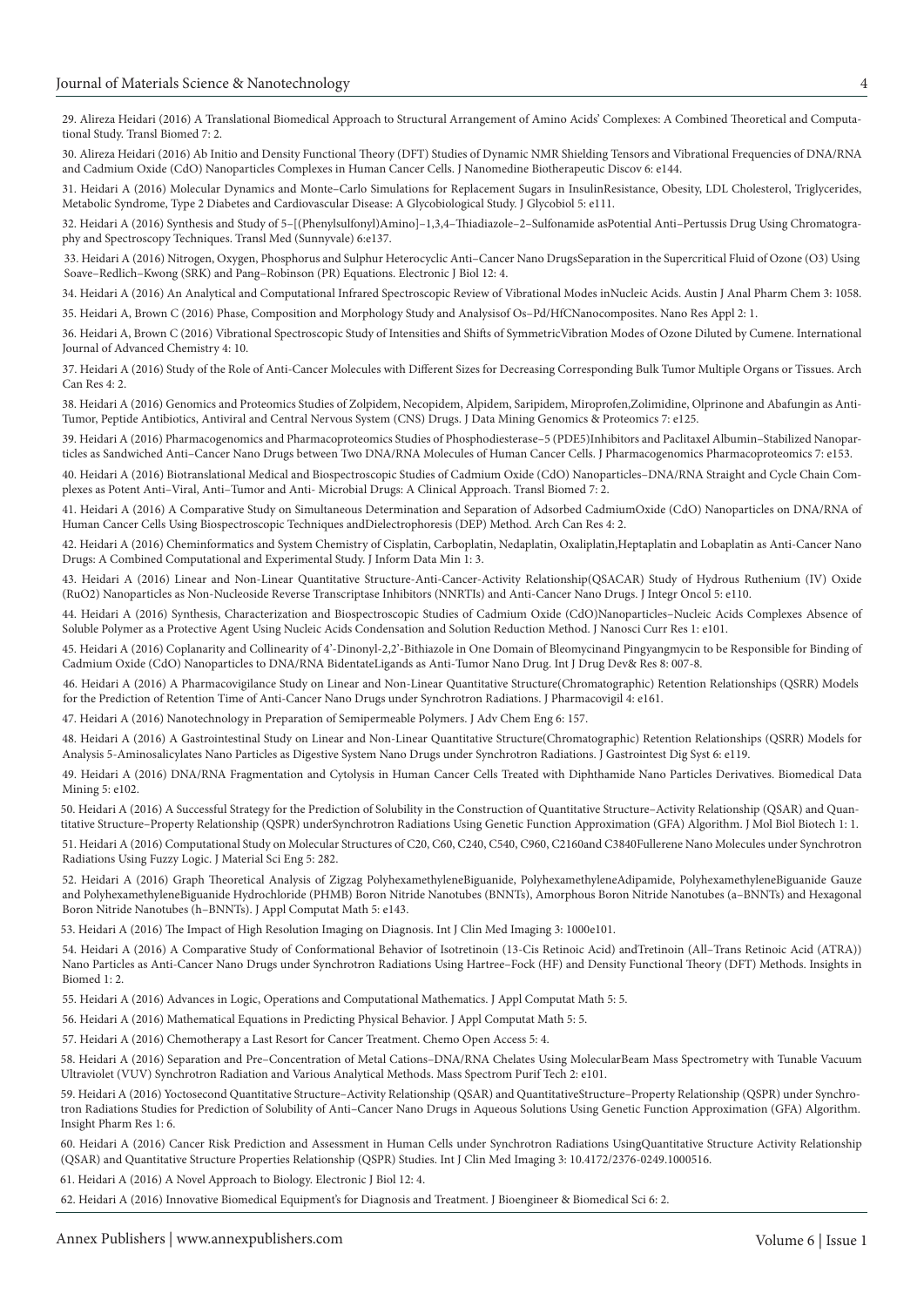[29. Alireza Heidari \(2016\) A Translational Biomedical Approach to Structural Arrangement of Amino Acids' Complexes: A Combined Theoretical and Computa](http://www.transbiomedicine.com/translational-biomedicine/a-translational-biomedical-approach-to-structural-arrangement-of-amino-acids-complexes-a-combined-theoretical-and-computational-st.php?aid=9653)tional Study. Transl Biomed 7: 2.

[30. Alireza Heidari \(2016\) Ab Initio and Density Functional Theory \(DFT\) Studies of Dynamic NMR Shielding Tensors and Vibrational Frequencies of DNA/RNA](https://www.omicsonline.org/open-access/ab-initio-and-density-functional-theory-dft-studies-of-dynamic-nmrshielding-tensors-and-vibrational-frequencies-of-dnarna-andcadmi-2155-983X-1000e144.php?aid=74217)  and Cadmium Oxide (CdO) Nanoparticles Complexes in Human Cancer Cells. J Nanomedine Biotherapeutic Discov 6: e144.

[31. Heidari A \(2016\) Molecular Dynamics and Monte–Carlo Simulations for Replacement Sugars in InsulinResistance, Obesity, LDL Cholesterol, Triglycerides,](https://www.omicsonline.org/open-access/molecular-dynamics-and-montecarlo-simulations-for-replacement-sugars-ininsulin-resistance-obesity-ldl-cholesterol-triglycerides-me-2168-958X-1000e111.php?aid=74707)  Metabolic Syndrome, Type 2 Diabetes and Cardiovascular Disease: A Glycobiological Study. J Glycobiol 5: e111.

[32. Heidari A \(2016\) Synthesis and Study of 5–\[\(Phenylsulfonyl\)Amino\]–1,3,4–Thiadiazole–2–Sulfonamide asPotential Anti–Pertussis Drug Using Chromatogra](https://www.omicsonline.org/open-access/synthesis-and-study-of-5phenylsulfonylamino134thiadiazole2sulfonamide-as-potential-antipertussis-drug-using-chromatography-and-spe-2161-1025-1000e137.php?aid=75143)phy and Spectroscopy Techniques. Transl Med (Sunnyvale) 6:e137.

[33. Heidari A \(2016\) Nitrogen, Oxygen, Phosphorus and Sulphur Heterocyclic Anti–Cancer Nano DrugsSeparation in the Supercritical Fluid of Ozone \(O3\) Using](http://ejbio.imedpub.com/nitrogen-oxygen-phosphorus-and-sulphur-heterocyclicanti-cancer-nano-drugs-separation-in-the-supercritical-fluidof-ozone-o3-using-s.php?aid=9768)  Soave–Redlich–Kwong (SRK) and Pang–Robinson (PR) Equations. Electronic J Biol 12: 4.

[34. Heidari A \(2016\) An Analytical and Computational Infrared Spectroscopic Review of Vibrational Modes inNucleic Acids. Austin J Anal Pharm Chem 3: 1058.](https://goo.gl/haFSKT) [35. Heidari A, Brown C \(2016\) Phase, Composition and Morphology Study and Analysisof Os–Pd/HfCNanocomposites. Nano Res Appl 2: 1.](http://nanotechnology.imedpub.com/phase-composition-and-morphology-study-and-analysis-of-ospdhfc-nanocomposites.pdf)

[36. Heidari A, Brown C \(2016\) Vibrational Spectroscopic Study of Intensities and Shifts of SymmetricVibration Modes of Ozone Diluted by Cumene. International](https://www.sciencepubco.com/index.php/IJAC/article/view/6080)  Journal of Advanced Chemistry 4: 10.

[37. Heidari A \(2016\) Study of the Role of Anti-Cancer Molecules with Different Sizes for Decreasing Corresponding Bulk Tumor Multiple Organs or Tissues. Arch](http://www.acanceresearch.com/cancer-research/study-of-the-role-of-anticancer-molecules-with-different-sizes-for-decreasing-corresponding-bulk-tumor-multiple-organs-or-tissues.php?aid=9809)  Can Res 4: 2.

[38. Heidari A \(2016\) Genomics and Proteomics Studies of Zolpidem, Necopidem, Alpidem, Saripidem, Miroprofen,Zolimidine, Olprinone and Abafungin as Anti-](https://www.omicsonline.org/open-access/genomics-and-proteomics-studies-of-zolpidem-necopidem-alpidem-saripidem-miroprofen-zolimidine-olprinone-and-abafungin-as-antitumor-2153-0602-1000e125.php?aid=75982)Tumor, Peptide Antibiotics, Antiviral and Central Nervous System (CNS) Drugs. J Data Mining Genomics & Proteomics 7: e125.

[39. Heidari A \(2016\) Pharmacogenomics and Pharmacoproteomics Studies of Phosphodiesterase–5 \(PDE5\)Inhibitors and Paclitaxel Albumin–Stabilized Nanopar](https://pdfs.semanticscholar.org/30c0/b0dbc699f1aaffc30685eba84698c21f5269.pdf)ticles as Sandwiched Anti–Cancer Nano Drugs between Two DNA/RNA Molecules of Human Cancer Cells. J Pharmacogenomics Pharmacoproteomics 7: e153.

[40. Heidari A \(2016\) Biotranslational Medical and Biospectroscopic Studies of Cadmium Oxide \(CdO\) Nanoparticles–DNA/RNA Straight and Cycle Chain Com](http://www.transbiomedicine.com/translational-biomedicine/biotranslational-medical-and-biospectroscopic-studies-of-cadmium-oxidecdo-nanoparticlesdnarna-straight-and-cycle-chain-complexes-a.php?aid=9835)plexes as Potent Anti–Viral, Anti–Tumor and Anti- Microbial Drugs: A Clinical Approach. Transl Biomed 7: 2.

[41. Heidari A \(2016\) A Comparative Study on Simultaneous Determination and Separation of Adsorbed CadmiumOxide \(CdO\) Nanoparticles on DNA/RNA of](http://www.acanceresearch.com/cancer-research/a-comparative-study-on-simultaneous-determination-and-separation-of-adsorbed-cadmium-oxide-cdo-nanoparticles-on-dnarna-of-human-ca.php?aid=9862)  Human Cancer Cells Using Biospectroscopic Techniques andDielectrophoresis (DEP) Method. Arch Can Res 4: 2.

[42. Heidari A \(2016\) Cheminformatics and System Chemistry of Cisplatin, Carboplatin, Nedaplatin, Oxaliplatin,Heptaplatin and Lobaplatin as Anti-Cancer Nano](http://datamining.imedpub.com/cheminformatics-and-system-chemistry-of-cisplatin-carboplatin-nedaplatinoxaliplatin-heptaplatin-and-lobaplatin-as-anticancer-nano.php?aid=9880)  Drugs: A Combined Computational and Experimental Study. J Inform Data Min 1: 3.

[43. Heidari A \(2016\) Linear and Non-Linear Quantitative Structure-Anti-Cancer-Activity Relationship\(QSACAR\) Study of Hydrous Ruthenium \(IV\) Oxide](https://www.omicsonline.org/open-access/linear-and-nonlinear-quantitative-structureanticanceractivityrelationship-qsacar-study-of-hydrous-ruthenium-iv-oxide-ruo2nanoparti-2329-6771-1000e110.php?aid=76867)  (RuO2) Nanoparticles as Non-Nucleoside Reverse Transcriptase Inhibitors (NNRTIs) and Anti-Cancer Nano Drugs. J Integr Oncol 5: e110.

[44. Heidari A \(2016\) Synthesis, Characterization and Biospectroscopic Studies of Cadmium Oxide \(CdO\)Nanoparticles–Nucleic Acids Complexes Absence of](https://www.omicsonline.org/open-access/synthesis-characterization-and-biospectroscopic-studies-of-cadmium-oxide-cdo-nanoparticles-nucleic-acids-complexes-absence-of-solu-JNCR-1000103.php?aid=76885)  Soluble Polymer as a Protective Agent Using Nucleic Acids Condensation and Solution Reduction Method. J Nanosci Curr Res 1: e101.

[45. Heidari A \(2016\) Coplanarity and Collinearity of 4'-Dinonyl-2,2'-Bithiazole in One Domain of Bleomycinand Pingyangmycin to be Responsible for Binding of](http://www.ijddr.in/drug-development/coplanarity-and-collinearity-of-4dinonyl22bithiazole-in-one-domain-of-bleomycin-and-pingyangmycin-to-be-responsible-for-bindingof.php?aid=9938)  Cadmium Oxide (CdO) Nanoparticles to DNA/RNA BidentateLigands as Anti-Tumor Nano Drug. Int J Drug Dev& Res 8: 007-8.

[46. Heidari A \(2016\) A Pharmacovigilance Study on Linear and Non-Linear Quantitative Structure\(Chromatographic\) Retention Relationships \(QSRR\) Models](https://www.omicsonline.org/open-access/a-pharmacovigilance-study-on-linear-and-nonlinear-quantitativestructure-chromatographic-retention-relationships-qsrr-models-forthe-2329-6887-1000e161.php?aid=78376)  for the Prediction of Retention Time of Anti-Cancer Nano Drugs under Synchrotron Radiations. J Pharmacovigil 4: e161.

[47. Heidari A \(2016\) Nanotechnology in Preparation of Semipermeable Polymers. J Adv Chem Eng 6: 157.](https://www.omicsonline.org/open-access/nanotechnology-in-preparation-of-semipermeable-polymers-2090-4568-1000157.php?aid=78336)

[48. Heidari A \(2016\) A Gastrointestinal Study on Linear and Non-Linear Quantitative Structure\(Chromatographic\) Retention Relationships \(QSRR\) Models for](https://www.omicsonline.org/open-access/dnarna-fragmentation-and-cytolysis-in-human-cancer-cells-treatedwith-diphthamide-nano-particles-derivatives-2090-4924-1000e102.php?aid=79143)  Analysis 5-Aminosalicylates Nano Particles as Digestive System Nano Drugs under Synchrotron Radiations. J Gastrointest Dig Syst 6: e119.

[49. Heidari A \(2016\) DNA/RNA Fragmentation and Cytolysis in Human Cancer Cells Treated with Diphthamide Nano Particles Derivatives. Biomedical Data](https://www.imedpub.com/articles/a-successful-strategy-for-the-prediction-of-solubility-in-the-construction-of-quantitative-structureactivity-relationship-qsar-and.pdf)  Mining 5: e102.

[50. Heidari A \(2016\) A Successful Strategy for the Prediction of Solubility in the Construction of Quantitative Structure–Activity Relationship \(QSAR\) and Quan](https://www.omicsonline.org/open-access/computational-study-on-molecular-structures-of-c20-c60-c240-c540c960-c2160-and-c3840-fullerene-nano-molecules-under-synchrotron-ra-2169-0022-1000282.php?aid=80465)titative Structure–Property Relationship (QSPR) underSynchrotron Radiations Using Genetic Function Approximation (GFA) Algorithm. J Mol Biol Biotech 1: 1.

[51. Heidari A \(2016\) Computational Study on Molecular Structures of C20, C60, C240, C540, C960, C2160and C3840Fullerene Nano Molecules under Synchrotron](http://biomedicine.imedpub.com/a-comparative-study-of-conformational-behavior-of-isotretinoin-13cis-retinoic-acid-and-tretinoin-alltrans-retinoic-acid-atra-nano.php?aid=17333)  Radiations Using Fuzzy Logic. J Material Sci Eng 5: 282.

[52. Heidari A \(2016\) Graph Theoretical Analysis of Zigzag PolyhexamethyleneBiguanide, PolyhexamethyleneAdipamide, PolyhexamethyleneBiguanide Gauze](https://www.omicsonline.org/open-access/graph-theoretical-analysis-of-zigzag-polyhexamethylene-biguanide-polyhexamethylene-adipamide-polyhexamethylene-biguanide-gauze-and-2168-9679-1000e143.php?aid=80804)  and PolyhexamethyleneBiguanide Hydrochloride (PHMB) Boron Nitride Nanotubes (BNNTs), Amorphous Boron Nitride Nanotubes (a–BNNTs) and Hexagonal Boron Nitride Nanotubes (h–BNNTs). J Appl Computat Math 5: e143.

[53. Heidari A \(2016\) The Impact of High Resolution Imaging on Diagnosis. Int J Clin Med Imaging 3: 1000e101.](https://scholar.google.co.in/scholar?hl=en&as_sdt=0%2C5&q=The+Impact+of+High+Resolution+Imaging+on+Diagnosis&btnG=)

[54. Heidari A \(2016\) A Comparative Study of Conformational Behavior of Isotretinoin \(13-Cis Retinoic Acid\) andTretinoin \(All–Trans Retinoic Acid \(ATRA\)\)](http://biomedicine.imedpub.com/a-comparative-study-of-conformational-behavior-of-isotretinoin-13cis-retinoic-acid-and-tretinoin-alltrans-retinoic-acid-atra-nano.php?aid=17333)  Nano Particles as Anti-Cancer Nano Drugs under Synchrotron Radiations Using Hartree–Fock (HF) and Density Functional Theory (DFT) Methods. Insights in Biomed 1: 2.

[55. Heidari A \(2016\) Advances in Logic, Operations and Computational Mathematics. J Appl Computat Math 5: 5.](https://www.omicsonline.org/open-access/advances-in-logic-operations-and-computational-mathematics-2168-9679-1000e144.php?aid=81158)

[56. Heidari A \(2016\) Mathematical Equations in Predicting Physical Behavior. J Appl Computat Math 5: 5.](https://www.omicsonline.org/open-access/mathematical-equations-in-predicting-physical-behavior-2168-9679-1000e145.php?aid=81159)

[57. Heidari A \(2016\) Chemotherapy a Last Resort for Cancer Treatment. Chemo Open Access 5: 4.](https://www.omicsonline.org/open-access/chemotherapy-a-last-resort-for-cancer-treatment-2167-7700-1000e130.php?aid=81319)

[58. Heidari A \(2016\) Separation and Pre–Concentration of Metal Cations–DNA/RNA Chelates Using MolecularBeam Mass Spectrometry with Tunable Vacuum](https://goo.gl/gHnG7S)  Ultraviolet (VUV) Synchrotron Radiation and Various Analytical Methods. Mass Spectrom Purif Tech 2: e101.

59. Heidari A (2016) Yoctosecond Quantitative Structure–Activity Relationship (QSAR) and QuantitativeStructure–Property Relationship (QSPR) under Synchro[tron Radiations Studies for Prediction of Solubility of Anti–Cancer Nano Drugs in Aqueous Solutions Using Genetic Function Approximation \(GFA\) Algorithm.](https://www.imedpub.com/articles/yoctosecond-quantitative-structure-activity-relationship-qsar-and-quantitative-structure-property-relationship-qspr-under-synchrot.pdf)  Insight Pharm Res 1: 6.

[60. Heidari A \(2016\) Cancer Risk Prediction and Assessment in Human Cells under Synchrotron Radiations UsingQuantitative Structure Activity Relationship](http://imagejournals.org/cancer-risk-prediction-and-assessment-in-human-cells-under-synchrotron-radiations-using-quantitative-structure-activity-relationship.pdf)  (QSAR) and Quantitative Structure Properties Relationship (QSPR) Studies. Int J Clin Med Imaging 3: 10.4172/2376-0249.1000516.

[61. Heidari A \(2016\) A Novel Approach to Biology. Electronic J Biol 12: 4.](http://ejbio.imedpub.com/a-novel-approach-to-biology.php?aid=17535)

[62. Heidari A \(2016\) Innovative Biomedical Equipment's for Diagnosis and Treatment. J Bioengineer & Biomedical Sci 6: 2.](https://www.omicsonline.org/open-access/innovative-biomedical-equipment-for-diagnosis-and-treatment-2155-9538-1000e125.ph.php?aid=87337)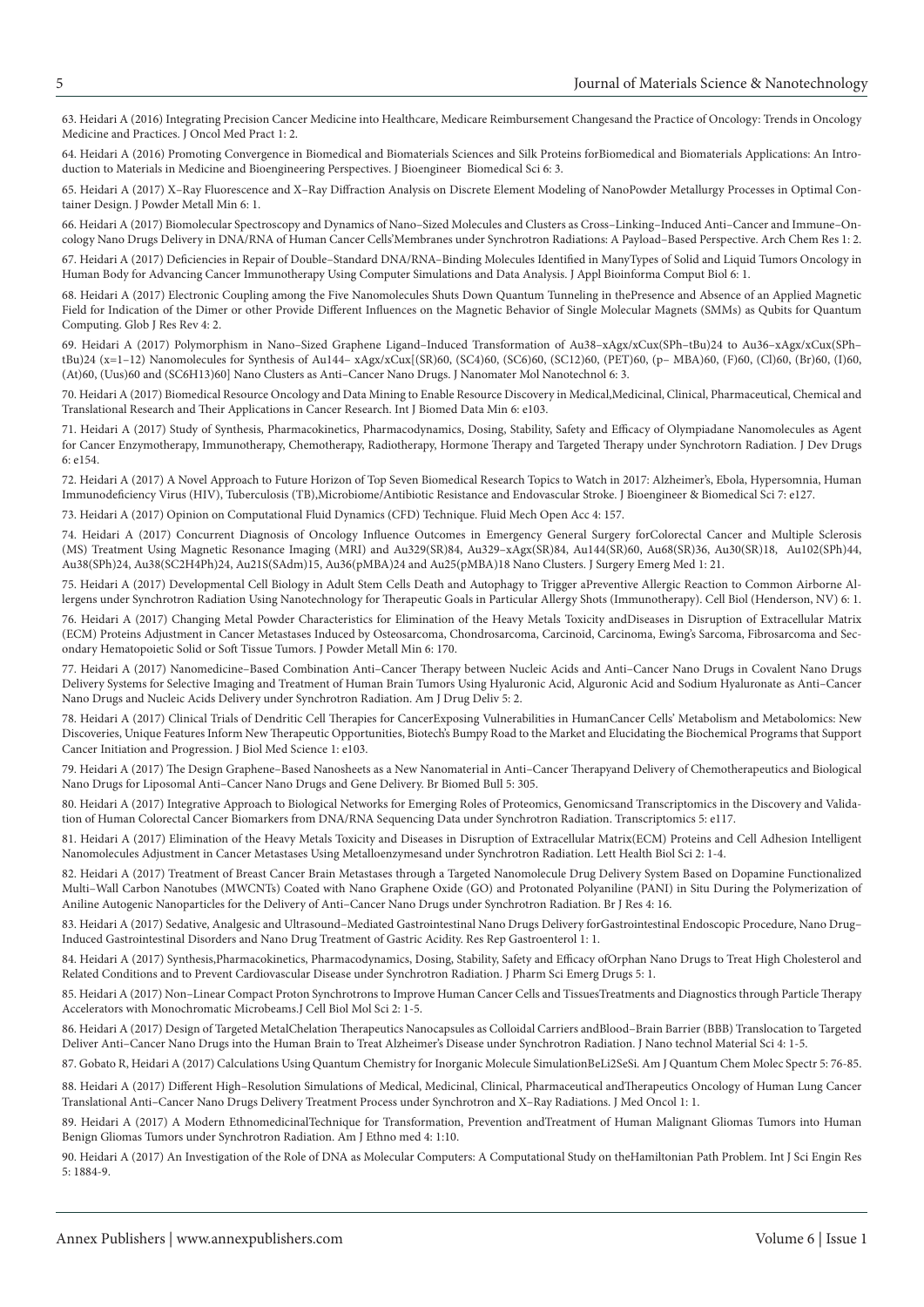[63. Heidari A \(2016\) Integrating Precision Cancer Medicine into Healthcare, Medicare Reimbursement Changesand the Practice of Oncology: Trends in Oncology](https://www.omicsonline.org/open-access/integrating-precision-cancer-medicine-into-healthcare-medicarereimbursement-changes-and-the-practice-of-oncology-trends-in-oncolog.php?aid=86766)  Medicine and Practices. J Oncol Med Pract 1: 2.

[64. Heidari A \(2016\) Promoting Convergence in Biomedical and Biomaterials Sciences and Silk Proteins forBiomedical and Biomaterials Applications: An Intro](https://www.omicsonline.org/open-access/promoting-convergence-in-biomedical-and-biomaterials-sciences-and-silkproteins-for-biomedical-and-biomaterials-applications-an-int-2155-9538-1000e126.php?aid=87317)duction to Materials in Medicine and Bioengineering Perspectives. J Bioengineer Biomedical Sci 6: 3.

[65. Heidari A \(2017\) X–Ray Fluorescence and X–Ray Diffraction Analysis on Discrete Element Modeling of NanoPowder Metallurgy Processes in Optimal Con](https://goo.gl/k4Y67S)tainer Design. J Powder Metall Min 6: 1.

[66. Heidari A \(2017\) Biomolecular Spectroscopy and Dynamics of Nano–Sized Molecules and Clusters as Cross–Linking–Induced Anti–Cancer and Immune–On](https://www.imedpub.com/articles/biomolecular-spectroscopy-and-dynamics-of-nanosized-molecules-and-clustersas-crosslinkinginduced-anticancer-and-immuneoncology-nan.php?aid=19262)cology Nano Drugs Delivery in DNA/RNA of Human Cancer Cells'Membranes under Synchrotron Radiations: A Payload–Based Perspective. Arch Chem Res 1: 2.

[67. Heidari A \(2017\) Deficiencies in Repair of Double–Standard DNA/RNA–Binding Molecules Identified in ManyTypes of Solid and Liquid Tumors Oncology in](https://www.scitechnol.com/peer-review/deficiencies-in-repair-of-doublestandard-dnarnabinding-molecules-identified-in-many-types-of-solid-and-liquid-tumors-oncology-in-h-QL3Y.php?article_id=6103)  Human Body for Advancing Cancer Immunotherapy Using Computer Simulations and Data Analysis. J Appl Bioinforma Comput Biol 6: 1.

[68. Heidari A \(2017\) Electronic Coupling among the Five Nanomolecules Shuts Down Quantum Tunneling in thePresence and Absence of an Applied Magnetic](https://www.imedpub.com/articles/electronic-coupling-among-the-five-nanomolecules-shuts-down-quantum-tunneling-in-the-presence-and-absence-of-an-applied-magnetic-f.php?aid=19461)  Field for Indication of the Dimer or other Provide Different Influences on the Magnetic Behavior of Single Molecular Magnets (SMMs) as Qubits for Quantum Computing. Glob J Res Rev 4: 2.

69. Heidari A (2017) Polymorphism in Nano–Sized Graphene Ligand–Induced Transformation of Au38–xAgx/xCux(SPh–tBu)24 to Au36–xAgx/xCux(SPh– [tBu\)24 \(x=1–12\) Nanomolecules for Synthesis of Au144– xAgx/xCux\[\(SR\)60, \(SC4\)60, \(SC6\)60, \(SC12\)60, \(PET\)60, \(p– MBA\)60, \(F\)60, \(Cl\)60, \(Br\)60, \(I\)60,](https://www.scitechnol.com/peer-review/polymorphism-in-nanosized-graphene-ligandinduced-transformation-of-au38xagxxcuxsphtbu24-to-au36xagxxcuxsphtbu24-x112-nanomolecules-v9Rx.php?article_id=6140)  (At)60, (Uus)60 and (SC6H13)60] Nano Clusters as Anti–Cancer Nano Drugs. J Nanomater Mol Nanotechnol 6: 3.

[70. Heidari A \(2017\) Biomedical Resource Oncology and Data Mining to Enable Resource Discovery in Medical,Medicinal, Clinical, Pharmaceutical, Chemical and](https://www.omicsonline.org/open-access/biomedical-resource-oncology-and-data-mining-to-enable-resourcediscovery-in-medical-medicinal-clinical-pharmaceutical-chemical-and-2090-4924-1000e103.php?aid=89799)  Translational Research and Their Applications in Cancer Research. Int J Biomed Data Min 6: e103.

[71. Heidari A \(2017\) Study of Synthesis, Pharmacokinetics, Pharmacodynamics, Dosing, Stability, Safety and Efficacy of Olympiadane Nanomolecules as Agent](https://www.omicsonline.org/open-access/study-of-synthesis-pharmacokinetics-pharmacodynamics-dosing-stability-safety-and-efficacy-of-olympiadane-nanomolecules-as-agent-fo-2329-6631-1000e154.pdf)  for Cancer Enzymotherapy, Immunotherapy, Chemotherapy, Radiotherapy, Hormone Therapy and Targeted Therapy under Synchrotorn Radiation. J Dev Drugs 6: e154.

[72. Heidari A \(2017\) A Novel Approach to Future Horizon of Top Seven Biomedical Research Topics to Watch in 2017: Alzheimer's, Ebola, Hypersomnia, Human](https://www.omicsonline.org/peer-reviewed/a-novel-approach-to-future-horizon-of-top-seven-biomedical-researchrntopics-to-watch-in-2017-alzheimers-ebola-hypersomnia-humanrni-90106.html)  Immunodeficiency Virus (HIV), Tuberculosis (TB),Microbiome/Antibiotic Resistance and Endovascular Stroke. J Bioengineer & Biomedical Sci 7: e127.

[73. Heidari A \(2017\) Opinion on Computational Fluid Dynamics \(CFD\) Technique. Fluid Mech Open Acc 4: 157.](https://www.omicsonline.org/open-access/opinion-on-computational-fluid-dynamics-cfd-technique-2476-2296-1000157.php?aid=90181)

[74. Heidari A \(2017\) Concurrent Diagnosis of Oncology Influence Outcomes in Emergency General Surgery forColorectal Cancer and Multiple Sclerosis](https://www.imedpub.com/articles/concurrent-diagnosis-of-oncology-influence-outcomes-in-emergency-general-surgery-for-colorectal-cancer-and-multiple-sclerosis-ms-t.pdf)  (MS) Treatment Using Magnetic Resonance Imaging (MRI) and Au329(SR)84, Au329–xAgx(SR)84, Au144(SR)60, Au68(SR)36, Au30(SR)18, Au102(SPh)44, Au38(SPh)24, Au38(SC2H4Ph)24, Au21S(SAdm)15, Au36(pMBA)24 and Au25(pMBA)18 Nano Clusters. J Surgery Emerg Med 1: 21.

[75. Heidari A \(2017\) Developmental Cell Biology in Adult Stem Cells Death and Autophagy to Trigger aPreventive Allergic Reaction to Common Airborne Al](https://www.scitechnol.com/peer-review/developmental-cell-biology-in-adult-stem-cells-death-and-autophagy-to-trigger-a-preventive-allergic-reaction-to-common-airborne-al-UR9x.php?article_id=6166)lergens under Synchrotron Radiation Using Nanotechnology for Therapeutic Goals in Particular Allergy Shots (Immunotherapy). Cell Biol (Henderson, NV) 6: 1.

[76. Heidari A \(2017\) Changing Metal Powder Characteristics for Elimination of the Heavy Metals Toxicity andDiseases in Disruption of Extracellular Matrix](https://www.omicsonline.org/open-access/changing-metal-powder-characteristics-for-elimination-of-the-heavymetals-toxicity-and-diseases-in-disruption-of-extracellular-matr-2168-9806-1000170.php?aid=91151)  (ECM) Proteins Adjustment in Cancer Metastases Induced by Osteosarcoma, Chondrosarcoma, Carcinoid, Carcinoma, Ewing's Sarcoma, Fibrosarcoma and Secondary Hematopoietic Solid or Soft Tissue Tumors. J Powder Metall Min 6: 170.

[77. Heidari A \(2017\) Nanomedicine–Based Combination Anti–Cancer Therapy between Nucleic Acids and Anti–Cancer Nano Drugs in Covalent Nano Drugs](http://www.imedpub.com/articles/nanomedicinebased-combination-anticancer-therapy-between-nucleic-acids-and-anticancer-nano-drugs-in-covalent-nano-drugs-delivery-s.php?aid=19819)  Delivery Systems for Selective Imaging and Treatment of Human Brain Tumors Using Hyaluronic Acid, Alguronic Acid and Sodium Hyaluronate as Anti–Cancer Nano Drugs and Nucleic Acids Delivery under Synchrotron Radiation. Am J Drug Deliv 5: 2.

[78. Heidari A \(2017\) Clinical Trials of Dendritic Cell Therapies for CancerExposing Vulnerabilities in HumanCancer Cells' Metabolism and Metabolomics: New](https://www.omicsonline.org/open-access/clinical-trials-of-dendritic-cell-therapies-for-cancer-exposing-vulnerabilities-in-human-cancer-cells-metabolism-and-metabolomics.php?aid=90179)  Discoveries, Unique Features Inform New Therapeutic Opportunities, Biotech's Bumpy Road to the Market and Elucidating the Biochemical Programs that Support Cancer Initiation and Progression. J Biol Med Science 1: e103.

[79. Heidari A \(2017\) The Design Graphene–Based Nanosheets as a New Nanomaterial in Anti–Cancer Therapyand Delivery of Chemotherapeutics and Biological](http://www.imedpub.com/articles/the-design-graphenebased-nanosheets-as-a-new-nanomaterial-in-anticancertherapy-and-delivery-of-chemotherapeutics-and-biological-na.php?aid=19870)  Nano Drugs for Liposomal Anti–Cancer Nano Drugs and Gene Delivery. Br Biomed Bull 5: 305.

[80. Heidari A \(2017\) Integrative Approach to Biological Networks for Emerging Roles of Proteomics, Genomicsand Transcriptomics in the Discovery and Valida](https://www.omicsonline.org/open-access/integrative-approach-to-biological-networks-for-emerging-roles-ofproteomics-genomics-and-transcriptomics-in-the-discovery-and-vali-2329-8936-1000e117.pdf)tion of Human Colorectal Cancer Biomarkers from DNA/RNA Sequencing Data under Synchrotron Radiation. Transcriptomics 5: e117.

[81. Heidari A \(2017\) Elimination of the Heavy Metals Toxicity and Diseases in Disruption of Extracellular Matrix\(ECM\) Proteins and Cell Adhesion Intelligent](https://www.ommegaonline.org/article-details/Elimination-of-the-Heavy-Metals-Toxicity-and-Diseases-in-Disruption-of-Extracellular-Matrix-ECM-Proteins-and-Cell-Adhesion-Intelligent-Nanomolecules-Adjustment-in-Cancer-Metastases-Using-Metalloenzymes-and-under)  Nanomolecules Adjustment in Cancer Metastases Using Metalloenzymesand under Synchrotron Radiation. Lett Health Biol Sci 2: 1-4.

[82. Heidari A \(2017\) Treatment of Breast Cancer Brain Metastases through a Targeted Nanomolecule Drug Delivery System Based on Dopamine Functionalized](http://www.imedpub.com/articles/treatment-of-breast-cancer-brain-metastases-through-a-targeted-nanomoleculedrug-delivery-system-based-on-dopamine-functionalized-m.php?aid=19806)  Multi–Wall Carbon Nanotubes (MWCNTs) Coated with Nano Graphene Oxide (GO) and Protonated Polyaniline (PANI) in Situ During the Polymerization of Aniline Autogenic Nanoparticles for the Delivery of Anti–Cancer Nano Drugs under Synchrotron Radiation. Br J Res 4: 16.

[83. Heidari A \(2017\) Sedative, Analgesic and Ultrasound–Mediated Gastrointestinal Nano Drugs Delivery forGastrointestinal Endoscopic Procedure, Nano Drug–](https://goo.gl/UD7SDd) Induced Gastrointestinal Disorders and Nano Drug Treatment of Gastric Acidity. Res Rep Gastroenterol 1: 1.

84. Heidari A (2017) Synthesis,Pharmacokinetics, Pharmacodynamics, Dosing, Stability, Safety and Efficacy ofOrphan Nano Drugs to Treat High Cholesterol and Related Conditions and to Prevent Cardiovascular Disease under Synchrotron Radiation. J Pharm Sci Emerg Drugs 5: 1.

[85. Heidari A \(2017\) Non–Linear Compact Proton Synchrotrons to Improve Human Cancer Cells and TissuesTreatments and Diagnostics through Particle Therapy](https://www.ommegaonline.org/article-details/Non%E2%80%93Linear-Compact-Proton-Synchrotrons-to-Improve-Human-Cancer-Cells-and-Tissues-Treatments-and-Diagnostics-through-Particle-Therapy-Accelerators-with-Monochromatic-Microbeams/1631)  Accelerators with Monochromatic Microbeams.J Cell Biol Mol Sci 2: 1-5.

[86. Heidari A \(2017\) Design of Targeted MetalChelation Therapeutics Nanocapsules as Colloidal Carriers andBlood–Brain Barrier \(BBB\) Translocation to Targeted](https://www.ommegaonline.org/article-details/Design of Targeted Metal Chelation Therapeutics Nanocapsules as Colloidal Carriers and Blood-Brain Barrier (BBB) Translocation to Targeted Deliver Anti-Cancer Nano Drugs%252)  Deliver Anti–Cancer Nano Drugs into the Human Brain to Treat Alzheimer's Disease under Synchrotron Radiation. J Nano technol Material Sci 4: 1-5.

[87. Gobato R, Heidari A \(2017\) Calculations Using Quantum Chemistry for Inorganic Molecule SimulationBeLi2SeSi. Am J Quantum Chem Molec Spectr 5: 76-85.](http://www.sciencepublishinggroup.com/journal/paperinfo?journalid=398&paperId=10024590)

[88. Heidari A \(2017\) Different High–Resolution Simulations of Medical, Medicinal, Clinical, Pharmaceutical andTherapeutics Oncology of Human Lung Cancer](http://www.imedpub.com/articles/highresolution-simulations-of-medical-medicinal-and-therapeutics-oncology-of-human-lung-cancer-translational-nano-drugs-delivery-t.pdf)  Translational Anti–Cancer Nano Drugs Delivery Treatment Process under Synchrotron and X–Ray Radiations. J Med Oncol 1: 1.

[89. Heidari A \(2017\) A Modern EthnomedicinalTechnique for Transformation, Prevention andTreatment of Human Malignant Gliomas Tumors into Human](http://www.imedpub.com/articles/a-modern-ethnomedicinal-technique-fortransformation-prevention-and-treatmentof-human-malignant-gliomas-tumors-intohuman-benign-gli.php?aid=20331)  Benign Gliomas Tumors under Synchrotron Radiation. Am J Ethno med 4: 1:10.

[90. Heidari A \(2017\) An Investigation of the Role of DNA as Molecular Computers: A Computational Study on theHamiltonian Path Problem. Int J Sci Engin Res](https://www.ijser.org/researchpaper/An-investigation-of-the-role-of-DNA-as-molecular-computers.pdf)  5: 1884-9.